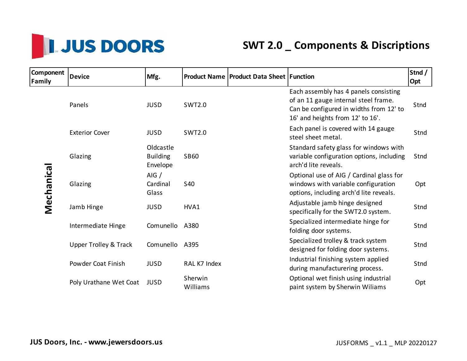

## **SWT 2.0 \_ Components & Discriptions**

| Component<br>Family | <b>Device</b>                    | Mfg.                                     |                     | <b>Product Name   Product Data Sheet   Function</b> |                                                                                                                                                              | Stnd /<br>Opt |
|---------------------|----------------------------------|------------------------------------------|---------------------|-----------------------------------------------------|--------------------------------------------------------------------------------------------------------------------------------------------------------------|---------------|
| Mechanical          | Panels                           | <b>JUSD</b>                              | <b>SWT2.0</b>       |                                                     | Each assembly has 4 panels consisting<br>of an 11 gauge internal steel frame.<br>Can be configured in widths from 12' to<br>16' and heights from 12' to 16'. | Stnd          |
|                     | <b>Exterior Cover</b>            | <b>JUSD</b>                              | <b>SWT2.0</b>       |                                                     | Each panel is covered with 14 gauge<br>steel sheet metal.                                                                                                    | Stnd          |
|                     | Glazing                          | Oldcastle<br><b>Building</b><br>Envelope | <b>SB60</b>         |                                                     | Standard safety glass for windows with<br>variable configuration options, including<br>arch'd lite reveals.                                                  | Stnd          |
|                     | Glazing                          | AIG /<br>Cardinal<br>Glass               | <b>S40</b>          |                                                     | Optional use of AIG / Cardinal glass for<br>windows with variable configuration<br>options, including arch'd lite reveals.                                   | Opt           |
|                     | Jamb Hinge                       | <b>JUSD</b>                              | HVA1                |                                                     | Adjustable jamb hinge designed<br>specifically for the SWT2.0 system.                                                                                        | Stnd          |
|                     | Intermediate Hinge               | Comunello                                | A380                |                                                     | Specialized intermediate hinge for<br>folding door systems.                                                                                                  | Stnd          |
|                     | <b>Upper Trolley &amp; Track</b> | Comunello A395                           |                     |                                                     | Specialized trolley & track system<br>designed for folding door systems.                                                                                     | Stnd          |
|                     | Powder Coat Finish               | <b>JUSD</b>                              | RAL K7 Index        |                                                     | Industrial finishing system applied<br>during manufacturering process.                                                                                       | Stnd          |
|                     | Poly Urathane Wet Coat           | <b>JUSD</b>                              | Sherwin<br>Williams |                                                     | Optional wet finish using industrial<br>paint system by Sherwin Wiliams                                                                                      | Opt           |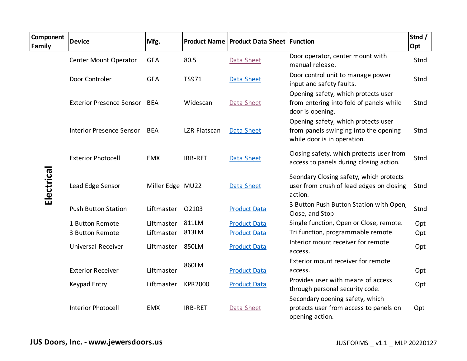| <b>Component</b><br><b>Family</b> | <b>Device</b>                   | Mfg.             |                | <b>Product Name   Product Data Sheet   Function</b> |                                                                                                             | Stnd /<br>Opt |
|-----------------------------------|---------------------------------|------------------|----------------|-----------------------------------------------------|-------------------------------------------------------------------------------------------------------------|---------------|
| Electrical                        | Center Mount Operator           | <b>GFA</b>       | 80.5           | Data Sheet                                          | Door operator, center mount with<br>manual release.                                                         | Stnd          |
|                                   | Door Controler                  | <b>GFA</b>       | TS971          | Data Sheet                                          | Door control unit to manage power<br>input and safety faults.                                               | Stnd          |
|                                   | Exterior Presence Sensor BEA    |                  | Widescan       | Data Sheet                                          | Opening safety, which protects user<br>from entering into fold of panels while<br>door is opening.          | Stnd          |
|                                   | <b>Interior Presence Sensor</b> | <b>BEA</b>       | LZR Flatscan   | <b>Data Sheet</b>                                   | Opening safety, which protects user<br>from panels swinging into the opening<br>while door is in operation. | Stnd          |
|                                   | <b>Exterior Photocell</b>       | <b>EMX</b>       | IRB-RET        | <b>Data Sheet</b>                                   | Closing safety, which protects user from<br>access to panels during closing action.                         | Stnd          |
|                                   | Lead Edge Sensor                | Miller Edge MU22 |                | <b>Data Sheet</b>                                   | Seondary Closing safety, which protects<br>user from crush of lead edges on closing<br>action.              | Stnd          |
|                                   | <b>Push Button Station</b>      | Liftmaster       | O2103          | <b>Product Data</b>                                 | 3 Button Push Button Station with Open,<br>Close, and Stop                                                  | Stnd          |
|                                   | 1 Button Remote                 | Liftmaster       | 811LM          | <b>Product Data</b>                                 | Single function, Open or Close, remote.                                                                     | Opt           |
|                                   | 3 Button Remote                 | Liftmaster       | 813LM          | <b>Product Data</b>                                 | Tri function, programmable remote.                                                                          | Opt           |
|                                   | <b>Universal Receiver</b>       | Liftmaster       | 850LM          | <b>Product Data</b>                                 | Interior mount receiver for remote<br>access.                                                               | Opt           |
|                                   |                                 |                  | 860LM          |                                                     | Exterior mount receiver for remote                                                                          |               |
|                                   | <b>Exterior Receiver</b>        | Liftmaster       |                | <b>Product Data</b>                                 | access.                                                                                                     | Opt           |
|                                   | Keypad Entry                    | Liftmaster       | <b>KPR2000</b> | <b>Product Data</b>                                 | Provides user with means of access<br>through personal security code.                                       | Opt           |
|                                   | <b>Interior Photocell</b>       | <b>EMX</b>       | IRB-RET        | Data Sheet                                          | Secondary opening safety, which<br>protects user from access to panels on<br>opening action.                | Opt           |